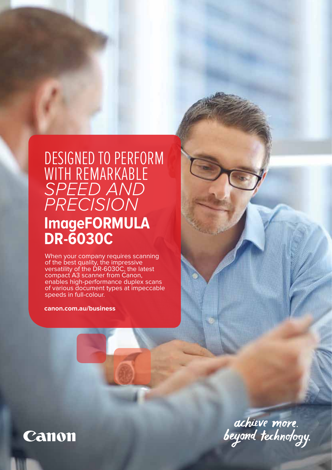# DESIGNED TO PERFORM WITH REMARKABLE *SPEED AND PRECISION* **ImageFORMULA DR-6030C**

When your company requires scanning of the best quality, the impressive versatility of the DR-6030C, the latest compact A3 scanner from Canon, enables high-performance duplex scans of various document types at impeccable speeds in full-colour.

**canon.com.au/business**



achieve more.<br>beyond technology.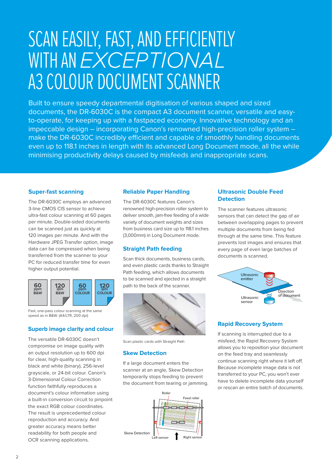# SCAN EASILY, FAST, AND EFFICIENTLY WITH AN *EXCEPTIONAL* A3 COLOUR DOCUMENT SCANNER

Built to ensure speedy departmental digitisation of various shaped and sized documents, the DR-6030C is the compact A3 document scanner, versatile and easyto-operate, for keeping up with a fastpaced economy. Innovative technology and an impeccable design – incorporating Canon's renowned high-precision roller system – make the DR-6030C incredibly efficient and capable of smoothly handling documents even up to 118.1 inches in length with its advanced Long Document mode, all the while minimising productivity delays caused by misfeeds and inappropriate scans.

# **Super-fast scanning**

The DR-6030C employs an advanced 3-line CMOS CIS sensor to achieve ultra-fast colour scanning at 60 pages per minute. Double-sided documents can be scanned just as quickly at 120 images per minute. And with the Hardware JPEG Transfer option, image data can be compressed when being transferred from the scanner to your PC for reduced transfer time for even higher output potential.



Fast, one-pass colour scanning at the same speed as in B&W. (A4/LTR, 200 dpi)

# **Superb image clarity and colour**

The versatile DR-6030C doesn't compromise on image quality with an output resolution up to 600 dpi for clear, high-quality scanning in black and white (binary), 256-level grayscale, or 24-bit colour. Canon's 3-Dimensional Colour Correction function faithfully reproduces a document's colour information using a built-in conversion circuit to pinpoint the exact RGB colour coordinates. The result is unprecedented colour reproduction and accuracy. And greater accuracy means better readability for both people and OCR scanning applications.

#### **Reliable Paper Handling**

The DR-6030C features Canon's renowned high-precision roller system to deliver smooth, jam-free feeding of a wide variety of document weights and sizes from business card size up to 118.1 inches (3,000mm) in Long Document mode.

# **Straight Path feeding**

Scan thick documents, business cards, and even plastic cards thanks to Straight Path feeding, which allows documents to be scanned and ejected in a straight path to the back of the scanner.



Scan plastic cards with Straight Path

#### **Skew Detection**

If a large document enters the scanner at an angle, Skew Detection temporarily stops feeding to prevent the document from tearing or jamming.



#### **Ultrasonic Double Feed Detection**

The scanner features ultrasonic sensors that can detect the gap of air between overlapping pages to prevent multiple documents from being fed through at the same time. This feature prevents lost images and ensures that every page of even large batches of documents is scanned.



## **Rapid Recovery System**

If scanning is interrupted due to a misfeed, the Rapid Recovery System allows you to reposition your document on the feed tray and seamlessly continue scanning right where it left off. Because incomplete image data is not transferred to your PC, you won't ever have to delete incomplete data yourself or rescan an entire batch of documents.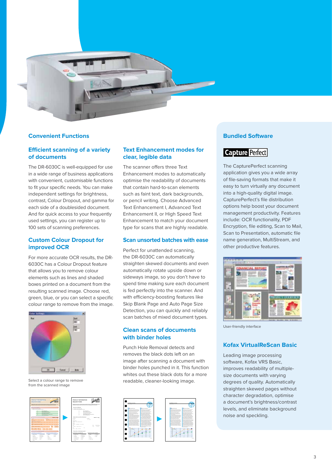

## **Convenient Functions**

# **Efficient scanning of a variety of documents**

The DR-6030C is well-equipped for use in a wide range of business applications with convenient, customisable functions to fit your specific needs. You can make independent settings for brightness, contrast, Colour Dropout, and gamma for each side of a doublesided document. And for quick access to your frequently used settings, you can register up to 100 sets of scanning preferences.

# **Custom Colour Dropout for improved OCR**

For more accurate OCR results, the DR-6030C has a Colour Dropout feature that allows you to remove colour elements such as lines and shaded boxes printed on a document from the resulting scanned image. Choose red, green, blue, or you can select a specific colour range to remove from the image.



Select a colour range to remove from the scanned image



| PRODUCT INFORMATION<br>REQUEST FORM                                                                                                                                                      |                                                                                                             |                                                                                          |                                      |  |
|------------------------------------------------------------------------------------------------------------------------------------------------------------------------------------------|-------------------------------------------------------------------------------------------------------------|------------------------------------------------------------------------------------------|--------------------------------------|--|
| Behaviors after a research and development and referent activities for your president business parts. To come<br><b>BRANDALESS ENTIRE IN ANTIQUE ADDITION TO AN EXCLUSIVE CONTINUES.</b> |                                                                                                             |                                                                                          |                                      |  |
|                                                                                                                                                                                          |                                                                                                             |                                                                                          |                                      |  |
| New year and help and?                                                                                                                                                                   |                                                                                                             |                                                                                          |                                      |  |
| <b>CONTRACTOR CONTRACTOR</b>                                                                                                                                                             |                                                                                                             |                                                                                          |                                      |  |
|                                                                                                                                                                                          | <b>Ballist Telephone Material</b><br><b><i><u>Parameter Manufacture</u></i></b><br>Total Fasters and Marine | <b>Buy Solom &amp; Selection Schools</b><br><b><i>Several Bearings and Workshire</i></b> |                                      |  |
| Worrical or und to identified                                                                                                                                                            |                                                                                                             |                                                                                          | <b>PERSONAL MONEY</b>                |  |
| <b>Building</b><br>14.9                                                                                                                                                                  |                                                                                                             | <b>MAG</b><br>11111                                                                      |                                      |  |
| <b>Database States</b><br><b>*** *********</b>                                                                                                                                           |                                                                                                             |                                                                                          |                                      |  |
| <b>STATISTICS</b>                                                                                                                                                                        |                                                                                                             |                                                                                          |                                      |  |
| ONE CANON PLAZA                                                                                                                                                                          |                                                                                                             |                                                                                          |                                      |  |
| no.<br>LASS SUCCESS                                                                                                                                                                      |                                                                                                             |                                                                                          | Ar Robinson<br>Text <sup>1</sup><br> |  |
| <b>Service</b><br>tis and area                                                                                                                                                           | h.                                                                                                          |                                                                                          |                                      |  |
| Please tell us a little about except.                                                                                                                                                    |                                                                                                             |                                                                                          |                                      |  |
| is what publics is any programminary                                                                                                                                                     |                                                                                                             | <b>The difference should be worked at</b>                                                |                                      |  |
| <b>Boltz Street</b>                                                                                                                                                                      | <b>School Street Court</b>                                                                                  | <b>Tuber</b>                                                                             | <b>Takita</b>                        |  |
| <b>Southern</b>                                                                                                                                                                          | Paulonce                                                                                                    | ÷                                                                                        | Mark 1                               |  |
| <b>MADE</b>                                                                                                                                                                              | Telephone                                                                                                   | <b>No</b>                                                                                | m.                                   |  |
| <b><i><u>Adventure</u></i></b>                                                                                                                                                           | <b>Marine</b><br>$\sim$                                                                                     | <b>DOM:</b><br><b>Box Service</b>                                                        |                                      |  |

# **Text Enhancement modes for clear, legible data**

The scanner offers three Text Enhancement modes to automatically optimise the readability of documents that contain hard-to-scan elements such as faint text, dark backgrounds, or pencil writing. Choose Advanced Text Enhancement I, Advanced Text Enhancement II, or High Speed Text Enhancement to match your document type for scans that are highly readable.

#### **Scan unsorted batches with ease**

Perfect for unattended scanning, the DR-6030C can automatically straighten skewed documents and even automatically rotate upside down or sideways image, so you don't have to spend time making sure each document is fed perfectly into the scanner. And with efficiency-boosting features like Skip Blank Page and Auto Page Size Detection, you can quickly and reliably scan batches of mixed document types.

# **Clean scans of documents with binder holes**

Punch Hole Removal detects and removes the black dots left on an image after scanning a document with binder holes punched in it. This function whites out these black dots for a more readable, cleaner-looking image.



# **Bundled Software**

# **Capture Perfect**

The CapturePerfect scanning application gives you a wide array of file-saving formats that make it easy to turn virtually any document into a high-quality digital image. CapturePerfect's file distribution options help boost your document management productivity. Features include: OCR functionality, PDF Encryption, file editing, Scan to Mail, Scan to Presentation, automatic file name generation, MultiStream, and other productive features.



User-friendly interface

### **Kofax VirtualReScan Basic**

Leading image processing software, Kofax VRS Basic, improves readability of multiplesize documents with varying degrees of quality. Automatically straighten skewed pages without character degradation, optimise a document's brightness/contrast levels, and eliminate background noise and speckling.